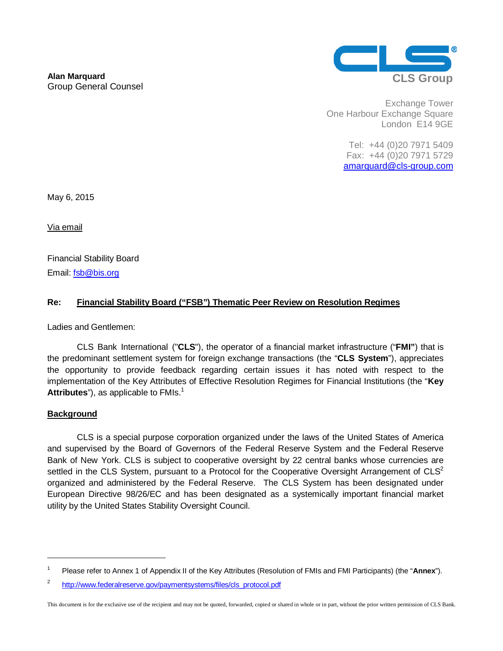

Exchange Tower One Harbour Exchange Square London E14 9GE

> Tel: +44 (0)20 7971 5409 Fax: +44 (0)20 7971 5729 amarquard@cls-group.com

May 6, 2015

Via email

Financial Stability Board Email: fsb@bis.org

## **Re: Financial Stability Board ("FSB") Thematic Peer Review on Resolution Regimes**

Ladies and Gentlemen:

CLS Bank International ("**CLS**"), the operator of a financial market infrastructure ("**FMI"**) that is the predominant settlement system for foreign exchange transactions (the "**CLS System**"), appreciates the opportunity to provide feedback regarding certain issues it has noted with respect to the implementation of the Key Attributes of Effective Resolution Regimes for Financial Institutions (the "**Key**  Attributes<sup>"</sup>), as applicable to FMIs.<sup>1</sup>

## **Background**

1

CLS is a special purpose corporation organized under the laws of the United States of America and supervised by the Board of Governors of the Federal Reserve System and the Federal Reserve Bank of New York. CLS is subject to cooperative oversight by 22 central banks whose currencies are settled in the CLS System, pursuant to a Protocol for the Cooperative Oversight Arrangement of  $CLS<sup>2</sup>$ organized and administered by the Federal Reserve. The CLS System has been designated under European Directive 98/26/EC and has been designated as a systemically important financial market utility by the United States Stability Oversight Council.

<sup>1</sup> Please refer to Annex 1 of Appendix II of the Key Attributes (Resolution of FMIs and FMI Participants) (the "**Annex**").

<sup>2</sup> http://www.federalreserve.gov/paymentsystems/files/cls\_protocol.pdf

This document is for the exclusive use of the recipient and may not be quoted, forwarded, copied or shared in whole or in part, without the prior written permission of CLS Bank.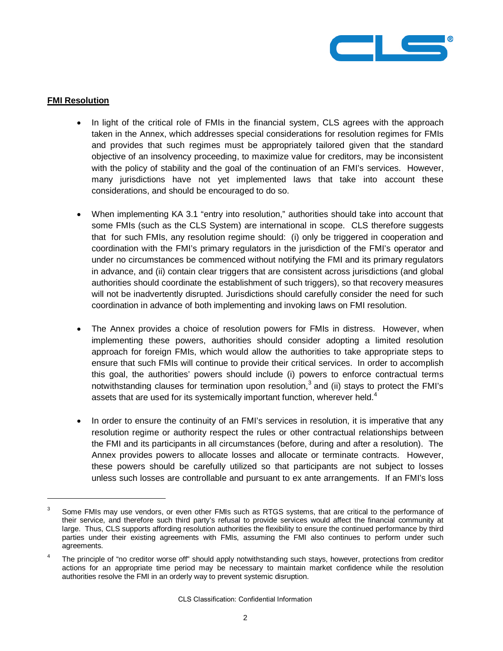

## **FMI Resolution**

1

- In light of the critical role of FMIs in the financial system, CLS agrees with the approach taken in the Annex, which addresses special considerations for resolution regimes for FMIs and provides that such regimes must be appropriately tailored given that the standard objective of an insolvency proceeding, to maximize value for creditors, may be inconsistent with the policy of stability and the goal of the continuation of an FMI's services. However, many jurisdictions have not yet implemented laws that take into account these considerations, and should be encouraged to do so.
- � When implementing KA 3.1 "entry into resolution," authorities should take into account that some FMIs (such as the CLS System) are international in scope. CLS therefore suggests that for such FMIs, any resolution regime should: (i) only be triggered in cooperation and coordination with the FMI's primary regulators in the jurisdiction of the FMI's operator and under no circumstances be commenced without notifying the FMI and its primary regulators in advance, and (ii) contain clear triggers that are consistent across jurisdictions (and global authorities should coordinate the establishment of such triggers), so that recovery measures will not be inadvertently disrupted. Jurisdictions should carefully consider the need for such coordination in advance of both implementing and invoking laws on FMI resolution.
- The Annex provides a choice of resolution powers for FMIs in distress. However, when implementing these powers, authorities should consider adopting a limited resolution approach for foreign FMIs, which would allow the authorities to take appropriate steps to ensure that such FMIs will continue to provide their critical services. In order to accomplish this goal, the authorities' powers should include (i) powers to enforce contractual terms notwithstanding clauses for termination upon resolution,<sup>3</sup> and (ii) stays to protect the FMI's assets that are used for its systemically important function, wherever held.<sup>4</sup>
- In order to ensure the continuity of an FMI's services in resolution, it is imperative that any resolution regime or authority respect the rules or other contractual relationships between the FMI and its participants in all circumstances (before, during and after a resolution). The Annex provides powers to allocate losses and allocate or terminate contracts. However, these powers should be carefully utilized so that participants are not subject to losses unless such losses are controllable and pursuant to ex ante arrangements. If an FMI's loss

<sup>3</sup> Some FMIs may use vendors, or even other FMIs such as RTGS systems, that are critical to the performance of their service, and therefore such third party's refusal to provide services would affect the financial community at large. Thus, CLS supports affording resolution authorities the flexibility to ensure the continued performance by third parties under their existing agreements with FMIs, assuming the FMI also continues to perform under such agreements.

<sup>4</sup> The principle of "no creditor worse off" should apply notwithstanding such stays, however, protections from creditor actions for an appropriate time period may be necessary to maintain market confidence while the resolution authorities resolve the FMI in an orderly way to prevent systemic disruption.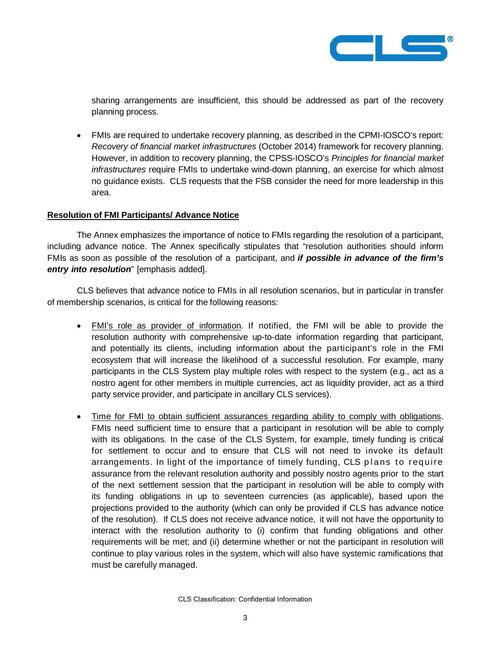

sharing arrangements are insufficient, this should be addressed as part of the recovery planning process.

� FMIs are required to undertake recovery planning, as described in the CPMI-IOSCO's report: Recovery of financial market infrastructures (October 2014) framework for recovery planning. However, in addition to recovery planning, the CPSS-IOSCO's Principles for financial market infrastructures require FMIs to undertake wind-down planning, an exercise for which almost no guidance exists. CLS requests that the FSB consider the need for more leadership in this area.

## **Resolution of FMI Participants/ Advance Notice**

The Annex emphasizes the importance of notice to FMIs regarding the resolution of a participant, including advance notice. The Annex specifically stipulates that "resolution authorities should inform FMIs as soon as possible of the resolution of a participant, and **if possible in advance of the firm's entry into resolution**" [emphasis added].

CLS believes that advance notice to FMIs in all resolution scenarios, but in particular in transfer of membership scenarios, is critical for the following reasons:

- � FMI's role as provider of information. If notified, the FMI will be able to provide the resolution authority with comprehensive up-to-date information regarding that participant, and potentially its clients, including information about the participant's role in the FMI ecosystem that will increase the likelihood of a successful resolution. For example, many participants in the CLS System play multiple roles with respect to the system (e.g., act as a nostro agent for other members in multiple currencies, act as liquidity provider, act as a third party service provider, and participate in ancillary CLS services).
- � Time for FMI to obtain sufficient assurances regarding ability to comply with obligations. FMIs need sufficient time to ensure that a participant in resolution will be able to comply with its obligations. In the case of the CLS System, for example, timely funding is critical for settlement to occur and to ensure that CLS will not need to invoke its default arrangements. In light of the importance of timely funding, CLS plans to require assurance from the relevant resolution authority and possibly nostro agents prior to the start of the next settlement session that the participant in resolution will be able to comply with its funding obligations in up to seventeen currencies (as applicable), based upon the projections provided to the authority (which can only be provided if CLS has advance notice of the resolution). If CLS does not receive advance notice, it will not have the opportunity to interact with the resolution authority to (i) confirm that funding obligations and other requirements will be met; and (ii) determine whether or not the participant in resolution will continue to play various roles in the system, which will also have systemic ramifications that must be carefully managed.